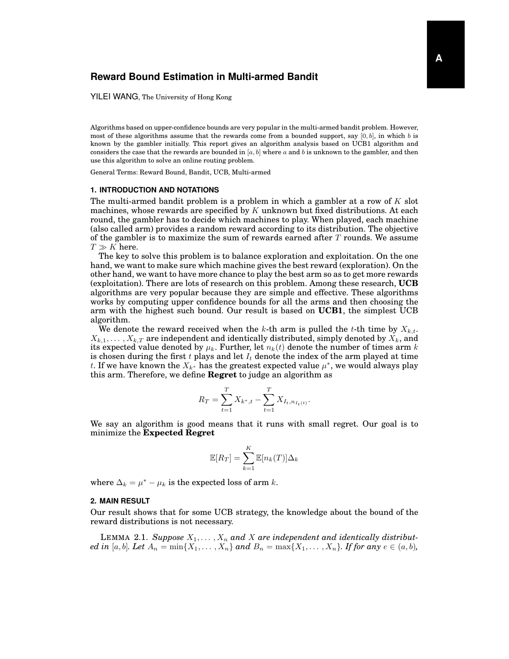# **Reward Bound Estimation in Multi-armed Bandit**

YILEI WANG, The University of Hong Kong

Algorithms based on upper-confidence bounds are very popular in the multi-armed bandit problem. However, most of these algorithms assume that the rewards come from a bounded support, say  $[0, b]$ , in which b is known by the gambler initially. This report gives an algorithm analysis based on UCB1 algorithm and considers the case that the rewards are bounded in  $[a, b]$  where a and b is unknown to the gambler, and then use this algorithm to solve an online routing problem.

General Terms: Reward Bound, Bandit, UCB, Multi-armed

#### **1. INTRODUCTION AND NOTATIONS**

The multi-armed bandit problem is a problem in which a gambler at a row of  $K$  slot machines, whose rewards are specified by K unknown but fixed distributions. At each round, the gambler has to decide which machines to play. When played, each machine (also called arm) provides a random reward according to its distribution. The objective of the gambler is to maximize the sum of rewards earned after  $T$  rounds. We assume  $T \gg K$  here.

The key to solve this problem is to balance exploration and exploitation. On the one hand, we want to make sure which machine gives the best reward (exploration). On the other hand, we want to have more chance to play the best arm so as to get more rewards (exploitation). There are lots of research on this problem. Among these research, **UCB** algorithms are very popular because they are simple and effective. These algorithms works by computing upper confidence bounds for all the arms and then choosing the arm with the highest such bound. Our result is based on **UCB1**, the simplest UCB algorithm.

We denote the reward received when the k-th arm is pulled the t-th time by  $X_{k,t}$ .  $X_{k,1}, \ldots, X_{k,T}$  are independent and identically distributed, simply denoted by  $X_k$ , and its expected value denoted by  $\mu_k$ . Further, let  $n_k(t)$  denote the number of times arm k is chosen during the first t plays and let  $I_t$  denote the index of the arm played at time t. If we have known the  $X_{k^*}$  has the greatest expected value  $\mu^*$ , we would always play this arm. Therefore, we define **Regret** to judge an algorithm as

$$
R_T = \sum_{t=1}^T X_{k^*, t} - \sum_{t=1}^T X_{I_t, n_{I_t(t)}}.
$$

We say an algorithm is good means that it runs with small regret. Our goal is to minimize the **Expected Regret**

$$
\mathbb{E}[R_T] = \sum_{k=1}^{K} \mathbb{E}[n_k(T)] \Delta_k
$$

where  $\Delta_k = \mu^* - \mu_k$  is the expected loss of arm k.

### **2. MAIN RESULT**

Our result shows that for some UCB strategy, the knowledge about the bound of the reward distributions is not necessary.

LEMMA 2.1. Suppose  $X_1, \ldots, X_n$  and X are independent and identically distribut*ed in* [a, b]. Let  $A_n = \min\{X_1, ..., X_n\}$  and  $B_n = \max\{X_1, ..., X_n\}$ . If for any  $e \in (a, b)$ ,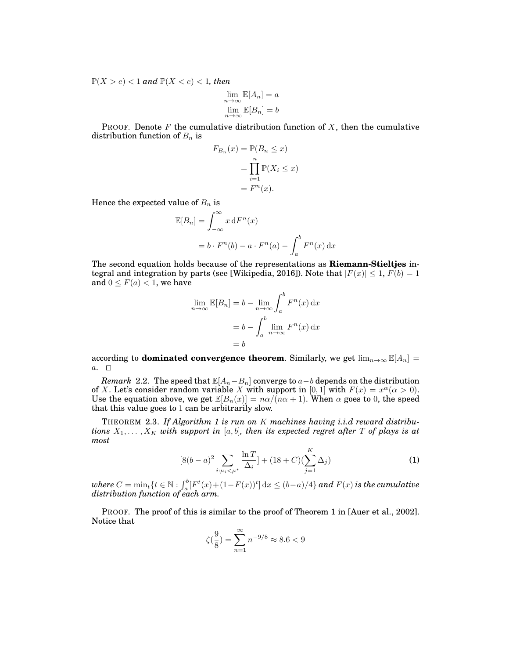$\mathbb{P}(X > e) < 1$  and  $\mathbb{P}(X < e) < 1$ , then

$$
\lim_{n \to \infty} \mathbb{E}[A_n] = a
$$
  

$$
\lim_{n \to \infty} \mathbb{E}[B_n] = b
$$

**PROOF.** Denote F the cumulative distribution function of X, then the cumulative distribution function of  $B_n$  is

$$
F_{B_n}(x) = \mathbb{P}(B_n \le x)
$$
  
= 
$$
\prod_{i=1}^n \mathbb{P}(X_i \le x)
$$
  
= 
$$
F^n(x).
$$

Hence the expected value of  $B_n$  is

$$
\mathbb{E}[B_n] = \int_{-\infty}^{\infty} x \, dF^n(x)
$$

$$
= b \cdot F^n(b) - a \cdot F^n(a) - \int_a^b F^n(x) \, dx
$$

The second equation holds because of the representations as **Riemann-Stieltjes** integral and integration by parts (see [Wikipedia, 2016]). Note that  $|F(x)| \leq 1$ ,  $F(b) = 1$ and  $0 \leq F(a) < 1$ , we have

$$
\lim_{n \to \infty} \mathbb{E}[B_n] = b - \lim_{n \to \infty} \int_a^b F^n(x) dx
$$

$$
= b - \int_a^b \lim_{n \to \infty} F^n(x) dx
$$

$$
= b
$$

according to **dominated convergence theorem**. Similarly, we get  $\lim_{n\to\infty} \mathbb{E}[A_n]$  $a. \square$ 

*Remark* 2.2. The speed that  $\mathbb{E}[A_n-B_n]$  converge to  $a-b$  depends on the distribution of X. Let's consider random variable X with support in [0, 1] with  $F(x) = x^{\alpha} (\alpha > 0)$ . Use the equation above, we get  $\mathbb{E}[B_n(x)] = n\alpha/(n\alpha+1)$ . When  $\alpha$  goes to 0, the speed that this value goes to 1 can be arbitrarily slow.

THEOREM 2.3. *If Algorithm 1 is run on* K *machines having i.i.d reward distributions*  $X_1, \ldots, X_K$  *with support in* [a, b], then its expected regret after T of plays is at *most*

$$
[8(b-a)^{2} \sum_{i:\mu_{i} < \mu^{*}} \frac{\ln T}{\Delta_{i}}] + (18+C)(\sum_{j=1}^{K} \Delta_{j})
$$
 (1)

 $where C = \min_t \{t \in \mathbb{N} : \int_a^b [F^t(x) + (1 - F(x))^t] dx \le (b - a)/4 \}$  and  $F(x)$  is the cumulative *distribution function of each arm.*

PROOF. The proof of this is similar to the proof of Theorem 1 in [Auer et al., 2002]. Notice that

$$
\zeta(\frac{9}{8}) = \sum_{n=1}^{\infty} n^{-9/8} \approx 8.6 < 9
$$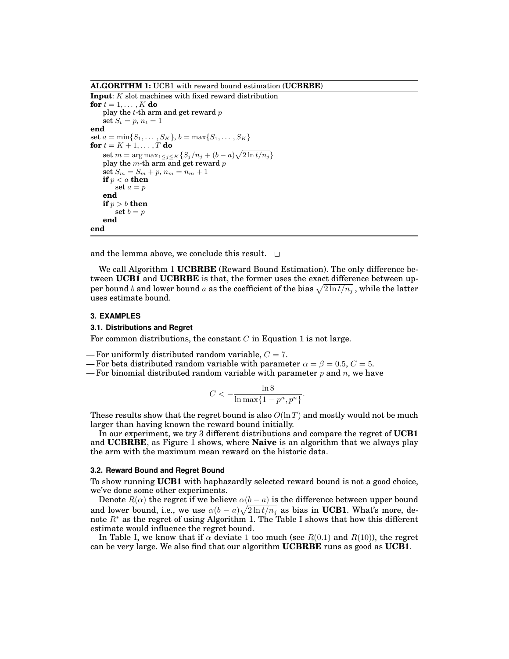**ALGORITHM 1:** UCB1 with reward bound estimation (**UCBRBE**)

**Input**: K slot machines with fixed reward distribution **for**  $t = 1, \ldots, K$  **do** play the  $t$ -th arm and get reward  $p$ set  $S_t = p$ ,  $n_t = 1$ **end** set  $a = \min\{S_1, \ldots, S_K\}, b = \max\{S_1, \ldots, S_K\}$ **for**  $t = K + 1, ..., T$  **do** set  $m = \arg \max_{1 \leq j \leq K} \{ S_j / n_j + (b - a) \sqrt{2 \ln t / n_j} \}$ play the  $m$ -th arm and get reward  $p$ set  $S_m = S_m + p$ ,  $n_m = n_m + 1$ **if** p < a **then** set  $a = p$ **end if**  $p > b$  **then** set  $b = p$ **end end**

and the lemma above, we conclude this result.  $\Box$ 

We call Algorithm 1 **UCBRBE** (Reward Bound Estimation). The only difference between **UCB1** and **UCBRBE** is that, the former uses the exact difference between upper bound  $b$  and lower bound  $a$  as the coefficient of the bias  $\sqrt{2 \ln t/n_j}$  , while the latter uses estimate bound.

### **3. EXAMPLES**

#### **3.1. Distributions and Regret**

For common distributions, the constant  $C$  in Equation 1 is not large.

- For uniformly distributed random variable,  $C = 7$ .
- For beta distributed random variable with parameter  $\alpha = \beta = 0.5, C = 5$ .
- For binomial distributed random variable with parameter p and n, we have

$$
C<-\frac{\ln 8}{\ln \max\{1-p^n,p^n\}}.
$$

These results show that the regret bound is also  $O(\ln T)$  and mostly would not be much larger than having known the reward bound initially.

In our experiment, we try 3 different distributions and compare the regret of **UCB1** and **UCBRBE**, as Figure 1 shows, where **Naive** is an algorithm that we always play the arm with the maximum mean reward on the historic data.

## **3.2. Reward Bound and Regret Bound**

To show running **UCB1** with haphazardly selected reward bound is not a good choice, we've done some other experiments.

Denote  $R(\alpha)$  the regret if we believe  $\alpha(b-a)$  is the difference between upper bound and lower bound, i.e., we use  $\alpha(b-a)\sqrt{2\ln t/n_j}$  as bias in UCB1. What's more, denote  $R^*$  as the regret of using Algorithm 1. The Table I shows that how this different estimate would influence the regret bound.

In Table I, we know that if  $\alpha$  deviate 1 too much (see  $R(0.1)$  and  $R(10)$ ), the regret can be very large. We also find that our algorithm **UCBRBE** runs as good as **UCB1**.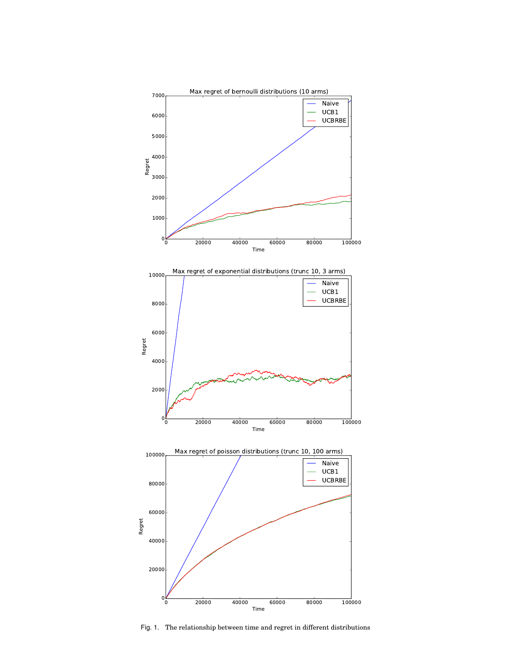





Fig. 1. The relationship between time and regret in different distributions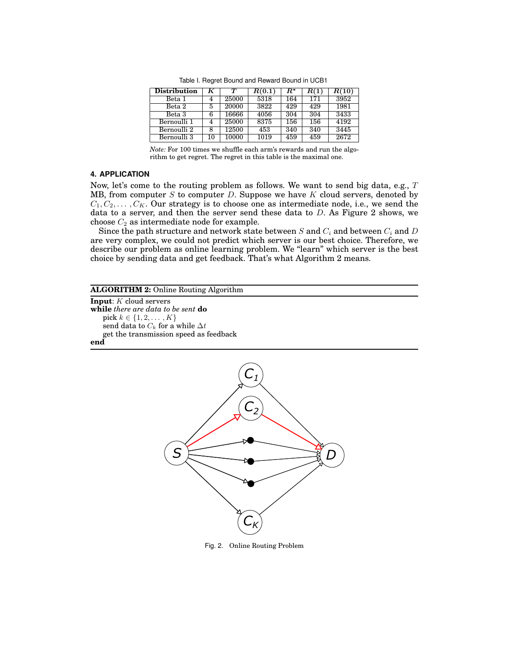| <b>Distribution</b>    | K  | $\bm{\tau}$ | R(0.1) | R*  | R(1) | R(10) |
|------------------------|----|-------------|--------|-----|------|-------|
| Beta 1                 | 4  | 25000       | 5318   | 164 | 171  | 3952  |
| Beta 2                 | 5  | 20000       | 3822   | 429 | 429  | 1981  |
| Beta 3                 | 6  | 16666       | 4056   | 304 | 304  | 3433  |
| Bernoulli <sub>1</sub> |    | 25000       | 8375   | 156 | 156  | 4192  |
| Bernoulli 2            | 8  | 12500       | 453    | 340 | 340  | 3445  |
| Bernoulli 3            | 10 | 10000       | 1019   | 459 | 459  | 2672  |

Table I. Regret Bound and Reward Bound in UCB1

*Note:* For 100 times we shuffle each arm's rewards and run the algorithm to get regret. The regret in this table is the maximal one.

## **4. APPLICATION**

Now, let's come to the routing problem as follows. We want to send big data, e.g.,  $T$ MB, from computer  $S$  to computer  $D$ . Suppose we have  $K$  cloud servers, denoted by  $C_1, C_2, \ldots, C_K$ . Our strategy is to choose one as intermediate node, i.e., we send the data to a server, and then the server send these data to  $D$ . As Figure 2 shows, we choose  $C_2$  as intermediate node for example.

Since the path structure and network state between  $S$  and  $C_i$  and between  $C_i$  and  $D$ are very complex, we could not predict which server is our best choice. Therefore, we describe our problem as online learning problem. We "learn" which server is the best choice by sending data and get feedback. That's what Algorithm 2 means.

## **ALGORITHM 2:** Online Routing Algorithm

**Input**: K cloud servers **while** *there are data to be sent* **do** pick  $k \in \{1, 2, ..., K\}$ send data to  $C_k$  for a while  $\Delta t$ get the transmission speed as feedback **end**



Fig. 2. Online Routing Problem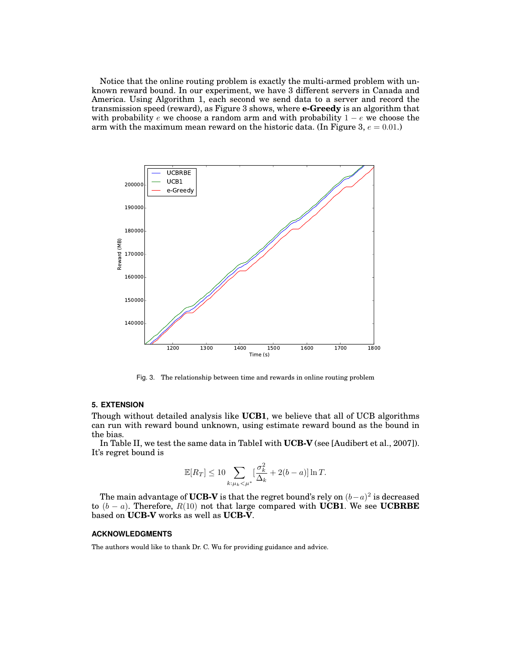Notice that the online routing problem is exactly the multi-armed problem with unknown reward bound. In our experiment, we have 3 different servers in Canada and America. Using Algorithm 1, each second we send data to a server and record the transmission speed (reward), as Figure 3 shows, where **e-Greedy** is an algorithm that with probability  $e$  we choose a random arm and with probability  $1 - e$  we choose the arm with the maximum mean reward on the historic data. (In Figure 3,  $e = 0.01$ .)



Fig. 3. The relationship between time and rewards in online routing problem

### **5. EXTENSION**

Though without detailed analysis like **UCB1**, we believe that all of UCB algorithms can run with reward bound unknown, using estimate reward bound as the bound in the bias.

In Table II, we test the same data in TableI with **UCB-V** (see [Audibert et al., 2007]). It's regret bound is

$$
\mathbb{E}[R_T] \le 10 \sum_{k:\mu_k < \mu^*} \left[\frac{\sigma_k^2}{\Delta_k} + 2(b-a)\right] \ln T.
$$

The main advantage of **UCB-V** is that the regret bound's rely on  $(b-a)^2$  is decreased to (b − a). Therefore, R(10) not that large compared with **UCB1**. We see **UCBRBE** based on **UCB-V** works as well as **UCB-V**.

#### **ACKNOWLEDGMENTS**

The authors would like to thank Dr. C. Wu for providing guidance and advice.